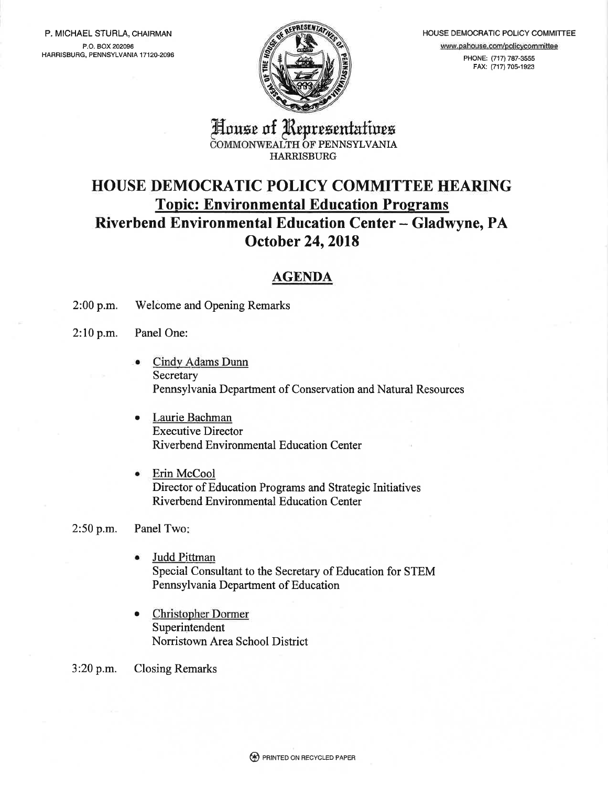P. MICHAEL STURLA, CHAIRMAN P.O. BOX 202096 HARRISBUBG, PENNSYLVANIA 17120-2096



HOUSE DEMOCRATIC POLICY COMMITTEE www.pahouse.com/policycommittee PHONE: (717) 787-3555

FAX: (717) 70s-1923

House of Representatives COMMONWEALTH OF PENNSYLVANIA **HARRISBURG** 

# HOUSE DEMOCRATIC POLICY COMMITTEE HEARING **Topic: Environmental Education Programs** Riverbend Environmental Education Center - Gladwyne, PA October 24,2018

# AGENDA

- 2:00 p.m. Welcome and Opening Remarks
- 2:10 p.m. Panel One:
	- Cindy Adams Dunn **Secretary** Pennsylvania Department of Conservation and Natural Resources a
	- Laurie Bachman Executive Director Riverbend Environmental Education Center
	- Erin McCool Director of Education Programs and Strategic Initiatives Riverbend Environmental Education Center

### 2:50 p.m. Panel Two

- a Judd Pittman Special Consultant to the Secretary of Education for STEM Pennsylvania Department of Education
- a Christopher Dormer Superintendent Norristown Area School District
- 3:20 p.m. Closing Remarks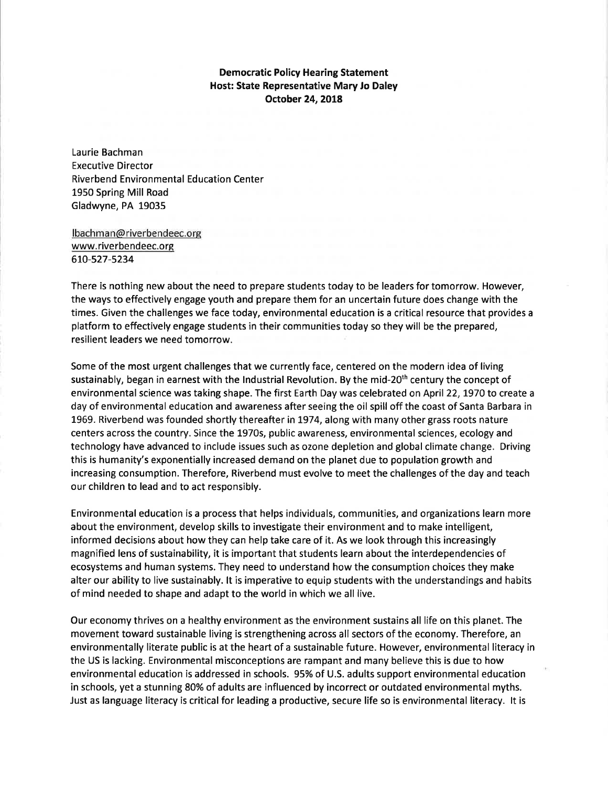### Democratic Policy Hearing Statement Host: State Representative Mary Jo Daley October 24,2018

Laurie Bachman Executive Director Riverbend Environmental Education Center 1950 Spring Mill Road Gladwyne, PA 19035

lbachman@ riverbendeec.org www.riverbendeec.org 610-527-5234

There is nothing new about the need to prepare students today to be leaders for tomorrow. However, the ways to effectively engage youth and prepare them for an uncertain future does change with the times. Given the challenges we face today, environmental education is a critical resource that provides <sup>a</sup> platform to effectively engage students in their communities today so they will be the prepared, resilient leaders we need tomorrow.

Some of the most urgent challenges that we currently face, centered on the modern idea of living sustainably, began in earnest with the Industrial Revolution. By the mid-20<sup>th</sup> century the concept of environmental science was taking shape. The first Earth Day was celebrated on April22,1970 to create <sup>a</sup> day of environmental education and awareness after seeing the oil spill off the coast of Santa Barbara in 1969. Riverbend was founded shortly thereafter in 7974, along with many other grass roots nature centers across the country. Since the L970s, public awareness, environmental sciences, ecology and technology have advanced to include issues such as ozone depletion and global climate change. Driving this is humanity's exponentially increased demand on the planet due to population growth and increasing consumption. Therefore, Riverbend must evolve to meet the challenges of the day and teach our children to lead and to act responsibly.

Environmental education is a process that helps individuals, communities, and organizations learn more about the environment, develop skills to investigate their environment and to make intelligent, informed decisions about how they can help take care of it. As we look through this increasingly magnified lens of sustainability, it is important that students learn about the interdependencies of ecosystems and human systems. They need to understand how the consumption choices they make alter our ability to live sustainably. lt is imperative to equip students with the understandings and habits of mind needed to shape and adapt to the world in which we all live.

Our economy thrives on a healthy environment as the environment sustains all life on this planet. The movement toward sustainable living is strengthening across all sectors of the economy. Therefore, an environmentally literate public is at the heart of a sustainable future. However, environmental literacy in the US is lacking. Environmental misconceptions are rampant and many believe this is due to how environmental education is addressed in schools. 95% of U.S. adults support environmental education in schools, yet a stunning 80% of adults are influenced by incorrect or outdated environmental myths. Just as language literacy is critical for leading a productive, secure life so is environmental literacy. lt is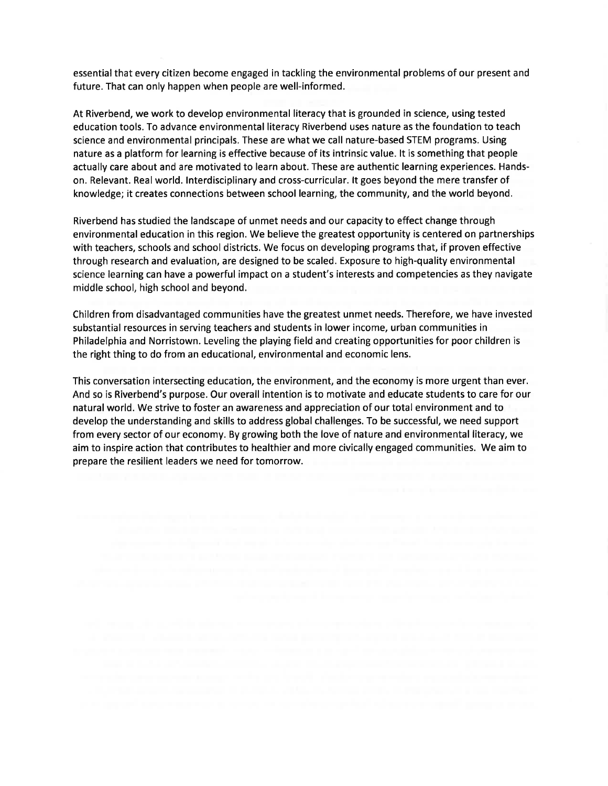essential that every citizen become engaged in tackling the environmental problems of our present and future. That can only happen when people are well-informed.

At Riverbend, we work to develop environmental literacy that is grounded in science, using tested education tools. To advance environmental literacy Riverbend uses nature as the foundation to teach science and environmental principals. These are what we call nature-based STEM programs. Using nature as a platform for learning is effective because of its intrinsic value. lt is something that people actually care about and are motivated to learn about. These are authentic learning experiences. Handson. Relevant. Real world. lnterdisciplinary and cross-curricular. lt goes beyond the mere transfer of knowledge; it creates connections between school learning, the community, and the world beyond.

Riverbend has studied the landscape of unmet needs and our capacity to effect change through environmental education in this region. We believe the greatest opportunity is centered on partnerships with teachers, schools and school districts. We focus on developing programs that, if proven effective through research and evaluation, are designed to be scaled. Exposure to high-quality environmental science learning can have a powerful impact on a student's interests and competencies as they navigate middle school, high school and beyond.

Children from disadvantaged communities have the greatest unmet needs. Therefore, we have invested substantial resources in serving teachers and students in lower income, urban communities in Philadelphia and Norristown. Leveling the playing field and creating opportunities for poor children is the right thing to do from an educational, environmental and economic lens.

This conversation intersecting education, the environment, and the economy is more urgent than ever. And so is Riverbend's purpose. Our overall intention is to motivate and educate students to care for our natural world. We strive to foster an awareness and appreciation of our total environment and to develop the understanding and skills to address global challenges. To be successful, we need support from every sector of our economy. By growing both the love of nature and environmental literacy, we aim to inspire action that contributes to healthier and more civically engaged communities. We aim to prepare the resilient leaders we need for tomorrow.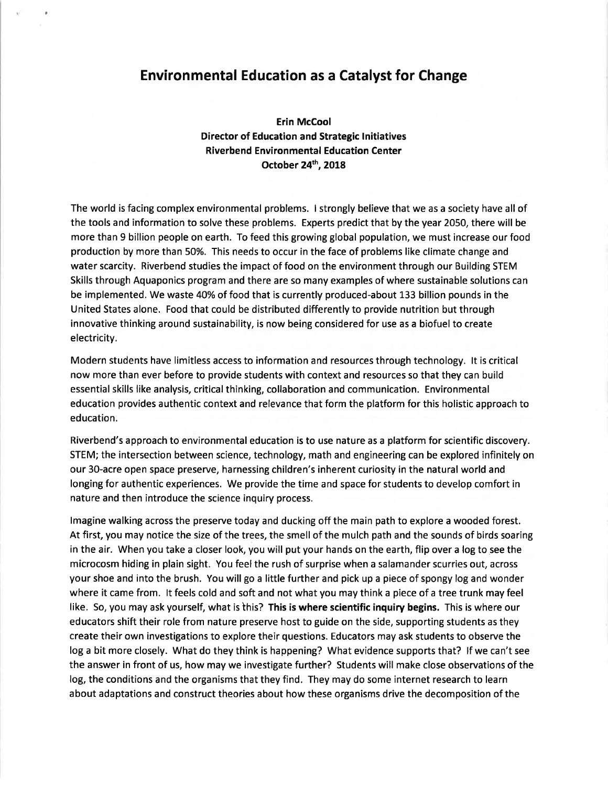## Environmental Education as a Catalyst for Change

Erin McCool Director of Education and Strategic lnitiatives Riverbend Environmental Education Center October 24<sup>th</sup>, 2018

The world is facing complex environmental problems. I strongly believe that we as a society have all of the tools and information to solve these problems. Experts predict that by the year 2050, there will be more than 9 billion people on earth. To feed this growing global population, we must increase our food production by more than 50%. This needs to occur in the face of problems like climate change and water scarcity. Riverbend studies the impact of food on the environment through our Building STEM Skills through Aquaponics program and there are so many examples of where sustainable solutions can be implemented. We waste 40%of food that is currently produced-about 133 billion pounds in the United States alone. Food that could be distributed differently to provide nutrition but through innovative thinking around sustainability, is now being considered for use as a biofuel to create electricity.

Modern students have limitless access to information and resources through technology. lt is critical now more than ever before to provide students with context and resources so that they can build essential skills like analysis, critical thinking, collaboration and communication. Environmental education provides authentic context and relevance that form the platform for this holistic approach to education.

Riverbend's approach to environmental education is to use nature as a platform for scientific discovery. STEM; the intersection between science, technology, math and engineering can be explored infinitely on our 3O-acre open space preserve, harnessing children's inherent curiosity in the natural world and longing for authentic experiences. We provide the time and space for students to develop comfort in nature and then introduce the science inquiry process.

lmagine walking across the preserve today and ducking off the main path to explore a wooded forest. At first, you may notice the size of the trees, the smell of the mulch path and the sounds of birds soaring in the air. When you take a closer look, you will put your hands on the earth, flip over a log to see the microcosm hiding in plain sight. You feel the rush of surprise when a salamander scurries out, across your shoe and into the brush. You will go a little further and pick up a piece of spongy log and wonder where it came from. lt feels cold and soft and not what you may think a piece of a tree trunk may feel like. So, you may ask yourself, what is this? This is where scientific inquiry begins. This is where our educators shift their role from nature preserve host to guide on the side, supporting students as they create their own investigations to explore their questions. Educators may ask students to observe the log a bit more closely. What do they think is happening? What evidence supports that? lf we can't see the answer in front of us, how may we investigate further? Students will make close observations of the log, the conditions and the organisms that they find. They may do some internet research to learn about adaptations and construct theories about how these organisms drive the decomposition of the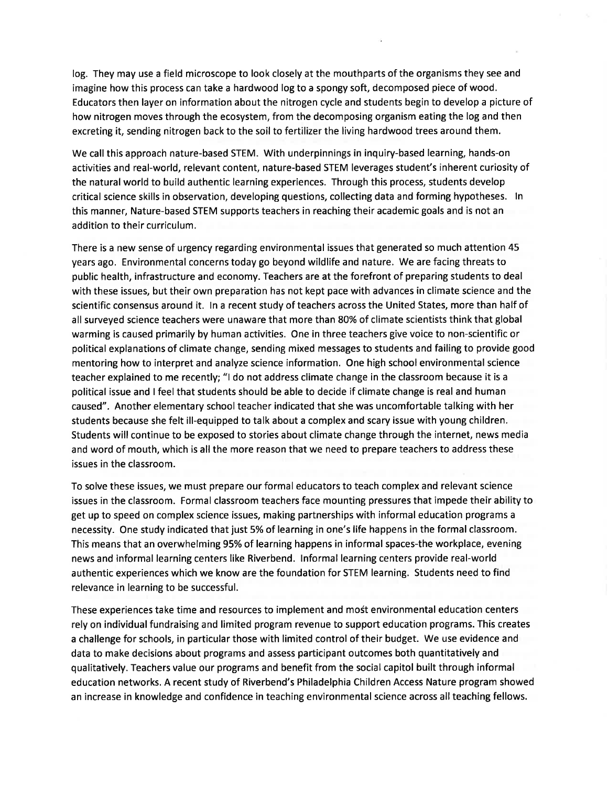log. They may use a field microscope to look closely at the mouthparts of the organisms they see and imagine how this process can take a hardwood log to a spongy soft, decomposed piece of wood. Educators then layer on information about the nitrogen cycle and students begin to develop a picture of how nitrogen moves through the ecosystem, from the decomposing organism eating the log and then excreting it, sending nitrogen back to the soil to fertilizer the living hardwood trees around them.

We call this approach nature-based STEM. With underpinnings in inquiry-based learning, hands-on activities and real-world, relevant content, nature-based STEM leverages student's inherent curiosity of the natural world to build authentic learning experiences. Through this process, students develop critical science skills in observation, developing questions, collecting data and forming hypotheses. ln this manner, Nature-based STEM supports teachers in reaching their academic goals and is not an addition to their curriculum.

There is a new sense of urgency regarding environmental issues that generated so much attention 45 years ago. Environmental concerns today go beyond wildlife and nature. We are facing threats to public health, infrastructure and economy. Teachers are at the forefront of preparing students to deal with these issues, but their own preparation has not kept pace with advances in climate science and the scientific consensus around it. ln a recent study of teachers across the United States, more than half of all surveyed science teachers were unaware that more than 8O% of climate scientists think that global warming is caused primarily by human activities. One in three teachers give voice to non-scientific or political explanations of climate change, sending mixed messages to students and failing to provide good mentoring how to interpret and analyze science information. One high school environmental science teacher explained to me recently; "l do not address climate change in the classroom because it is <sup>a</sup> political issue and I feel that students should be able to decide if climate change is real and human caused". Another elementary school teacher indicated that she was uncomfortable talking with her students because she felt ill-equipped to talk about a complex and scary issue with young children. Students will continue to be exposed to stories about climate change through the internet, news media and word of mouth, which is all the more reason that we need to prepare teachers to address these issues in the classroom.

To solve these issues, we must prepare our formal educators to teach complex and relevant science issues in the classroom. Formal classroom teachers face mounting pressures that impede their ability to get up to speed on complex science issues, making partnerships with informal education programs <sup>a</sup> necessity. One study indicated that just 5% of learning in one's life happens in the formal classroom. This means that an overwhelming 95% of learning happens in informal spaces-the workplace, evening news and informal learning centers like Riverbend. lnformal learning centers provide real-world authentic experiences which we know are the foundation for STEM learning. Students need to find relevance in learning to be successful.

These experiences take time and resources to implement and most environmental education centers rely on individual fundraising and limited program revenue to support education programs. This creates a challenge for schools, in particular those with limited control of their budget. We use evidence and data to make decisions about programs and assess participant outcomes both quantitatively and qualitatively. Teachers value our programs and benefit from the social capitol built through informal education networks. A recent study of Riverbend's Philadelphia Children Access Nature program showed an increase in knowledge and confidence in teaching environmental science across all teaching fellows.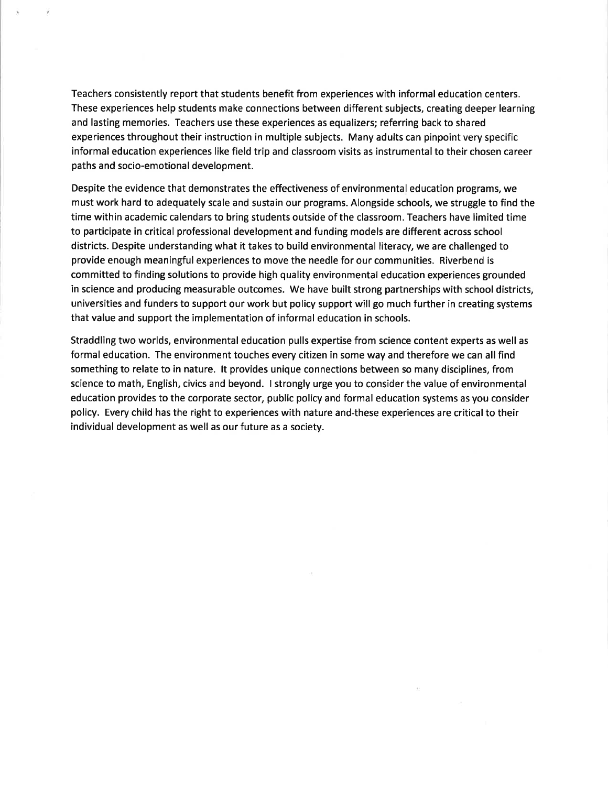Teachers consistently report that students benefit from experiences with informal education centers. These experiences help students make connections between different subjects, creating deeper learning and lasting memories. Teachers use these experiences as equalizers; referring back to shared experiences throughout their instruction in multiple subjects. Many adults can pinpoint very specific informal education experiences like field trip and classroom visits as instrumental to their chosen career paths and socio-emotional development.

Despite the evidence that demonstrates the effectiveness of environmental education programs, we must work hard to adequately scale and sustain our programs. Alongside schools, we struggle to find the time within academic calendars to bring students outside of the classroom. Teachers have limited time to participate in critical professional development and funding models are different across school districts. Despite understanding what it takes to build environmental literacy, we are challenged to provide enough meaningful experiences to move the needle for our communities. Riverbend is committed to finding solutions to provide high quality environmental education experiences grounded in science and producing measurable outcomes. We have built strong partnerships with school districts, universities and funders to support our work but policy support will go much further in creating systems that value and support the implementation of informal education in schools.

Straddling two worlds, environmental education pulls expertise from science content experts as well as formal education. The environment touches every citizen in some way and therefore we can all find something to relate to in nature. lt provides unique connections between so many disciplines, from science to math, English, civics and beyond. I strongly urge you to consider the value of environmental education provides to the corporate sector, public policy and formal education systems as you consider policy. Every child has the right to experiences with nature and-these experiences are critical to their individual development as well as our future as a society.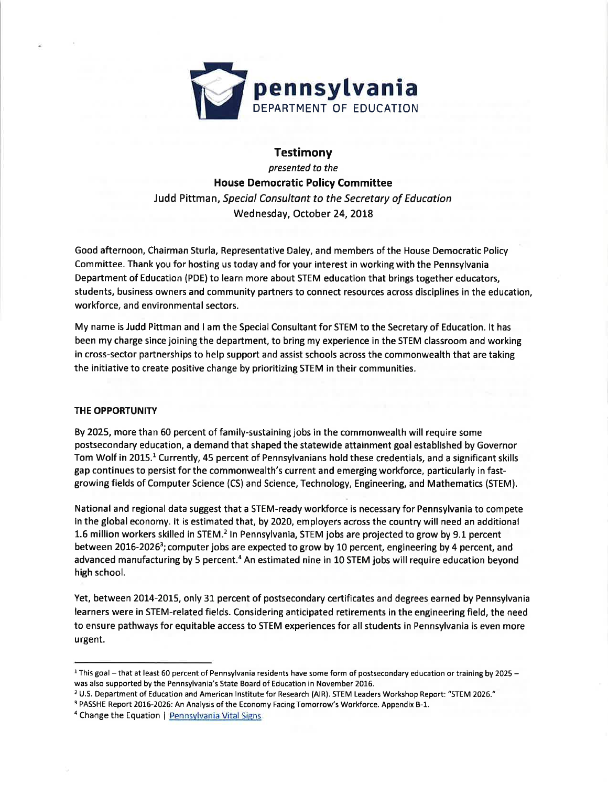

**Testimony** presented to the House Democratic Policy Committee Judd Pittman, Speciol Consultont to the Secretory of Education Wednesday, October 24, 2OI8

Good afternoon, Chairman Sturla, Representative Daley, and members of the House Democratic Policy Committee. Thank you for hosting us today and for your interest in working with the Pennsylvania Department of Education (PDE) to learn more about STEM education that brings together educators, students, business owners and community partners to connect resources across disciplines in the education, workforce, and environmental sectors.

My name is Judd Pittman and I am the Special Consultant for STEM to the Secretary of Education. lt has been my charge since joining the department, to bring my experience in the STEM classroom and working in cross-sector partnerships to help support and assist schools across the commonwealth that are taking the initiative to create positive change by prioritizing STEM in their communities.

#### THE OPPORTUNITY

By 2025, more than 60 percent of family-sustaining jobs in the commonwealth will require some postsecondary education, a demand that shaped the statewide attainment goal established by Governor Tom Wolf in 2015.1 Currently, 45 percent of Pennsylvanians hold these credentials, and a significant skills gap continues to persist for the commonwealth's current and emerging workforce, particularly in fastgrowing fields of Computer Science (CS) and Science, Technology, Engineering, and Mathematics (STEM).

National and regional data suggest that a STEM-ready workforce is necessary for Pennsylvania to compete in the global economy. lt is estimated that, by 2O2O, employers across the country will need an additional 1.6 million workers skilled in STEM.2 ln Pennsylvania, STEM jobs are projected to grow by 9.1 percent between 2016-2026<sup>3</sup>; computer jobs are expected to grow by 10 percent, engineering by 4 percent, and advanced manufacturing by 5 percent.<sup>4</sup> An estimated nine in 10 STEM jobs will require education beyond high school.

Yet, between 2014-2015, only 31 percent of postsecondary certificates and degrees earned by Pennsylvania learners were in STEM-related fields. Considering anticipated retirements in the engineering field, the need to ensure pathways for equitable access to STEM experiences for all students in Pennsylvania is even more urgent.

<sup>&</sup>lt;sup>1</sup> This goal - that at least 60 percent of Pennsylvania residents have some form of postsecondary education or training by 2025 was also supported by the Pennsylvania's State Board of Education in November 2016.

<sup>2</sup>U.S. Department of Education and American lnstitute for Research (AlR). STEM Leaders Workshop Report: "STEM 2026."

<sup>&</sup>lt;sup>3</sup> PASSHE Report 2016-2026: An Analysis of the Economy Facing Tomorrow's Workforce. Appendix B-1.

<sup>&</sup>lt;sup>4</sup> Change the Equation | Pennsylvania Vital Signs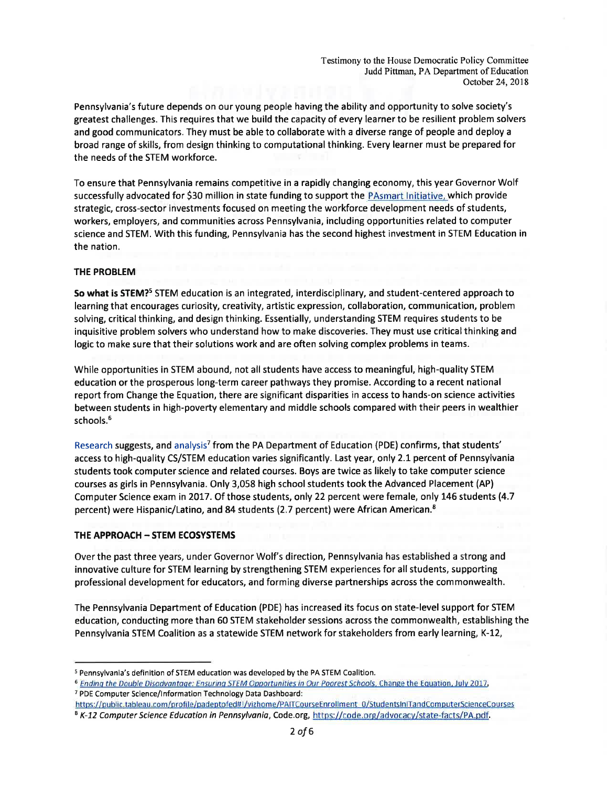Pennsylvania's future depends on our young people having the ability and opportunity to solve society's greatest challenges. This requires that we build the capacity of every learner to be resilient problem solvers and good communicators. They must be able to collaborate with a diverse range of people and deploy <sup>a</sup> broad range of skills, from design thinking to computational thinking. Every learner must be prepared for the needs of the STEM workforce.

To ensure that Pennsylvania remains competitive in a rapidly changing economy, this year Governor Wolf successfully advocated for S30 million in state funding to support the PAsmart lnitiative, which provide strategic, cross-sector investments focused on meeting the workforce development needs of students, workers, employers, and communities across Pennsylvania, including opportunities related to computer science and STEM. With this funding, Pennsylvania has the second highest investment in STEM Education in the nation.

#### THE PROBLEM

So what is STEM?<sup>5</sup> STEM education is an integrated, interdisciplinary, and student-centered approach to learning that encourages curiosity, creativity, artistic expression, collaboration, communication, problem solving, critical thinking, and design thinking. Essentially, understanding STEM requires students to be inquisitive problem solvers who understand how to make discoveries. They must use critical thinking and logic to make sure that their solutions work and are often solving complex problems in teams.

While opportunities in STEM abound, not all students have access to meaningful, high-quality STEM education or the prosperous long-term career pathways they promise. According to a recent national report from Change the Equation, there are significant disparities in access to hands-on science activities between students in high-poverty elementary and middle schools compared with their peers in wealthier schools.<sup>6</sup>

Research suggests, and analysis<sup>7</sup> from the PA Department of Education (PDE) confirms, that students' access to high-quality CS/STEM education varies significantly. Last year, only 2.1 percent of Pennsylvania students took computer science and related courses. Boys are twice as likely to take computer science courses as girls in Pennsylvania. Only 3,058 high school students took the Advanced Placement (AP) Computer Science exam in 2017. Of those students, only 22 percent were female, only 146 students (4.7 percent) were Hispanic/Latino, and 84 students (2.7 percent) were African American.<sup>8</sup>

#### THE APPROACH - STEM ECOSYSTEMS

Over the past three years, under Governor Wolf's direction, Pennsylvania has established a strong and innovative culture for STEM learning by strengthening STEM experiences for all students, supporting professional development for educators, and forming diverse partnerships across the commonwealth.

The Pennsylvania Department of Education (PDE) has increased its focus on state-level support for STEM education, conducting more than 60 STEM stakeholder sessions across the commonwealth, establishing the Pennsylvania STEM Coalition as a statewide STEM network for stakeholders from early learning, K-12,

https://public.tableau.com/profile/padeptofed#!/vizhome/PAlTCourseEnrollment 0/StudentslnlTandComputerScienceCourses <sup>8</sup> K-12 Computer Science Education in Pennsylvania, Code.org, https://code.org/advocacy/state-facts/PA.pdf.

<sup>&</sup>lt;sup>5</sup> Pennsylvania's definition of STEM education was developed by the PA STEM Coalition.

<sup>&</sup>lt;sup>6</sup> Ending the Double Disadvantage: Ensuring STEM Opportunities in Our Poorest Schools, Change the Equation, July 2017, <sup>7</sup>PDE Computer Science/lnformation Technology Data Dashboard: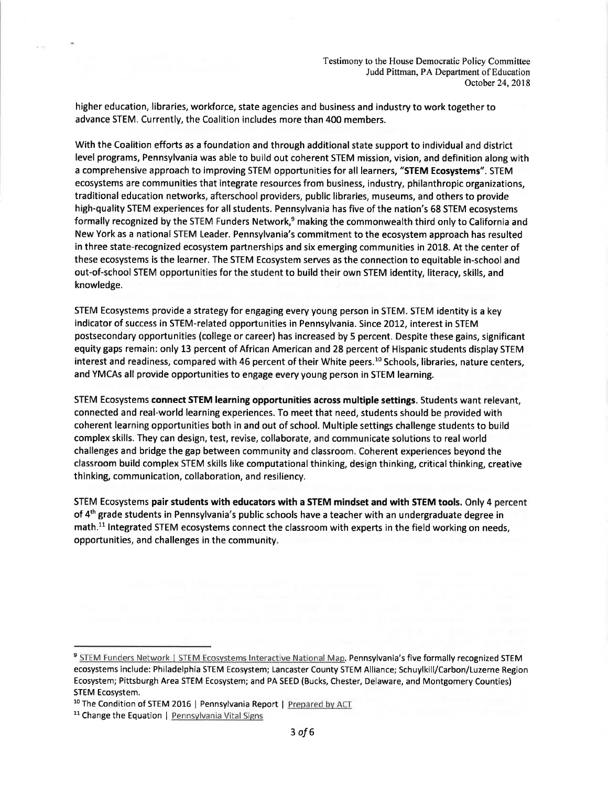higher education, libraries, workforce, state agencies and business and industry to work together to advance STEM. Currently, the Coalition includes more than 400 members.

With the Coalition efforts as a foundation and through additional state support to individual and district level programs, Pennsylvania was able to build out coherent STEM mission, vision, and definition along with a comprehensive approach to improving STEM opportunities for all learners, "STEM Ecosystems". STEM ecosystems are communities that integrate resources from business, industry, philanthropic organizations, traditional education networks, afterschool providers, public libraries, museums, and others to provide high-quality STEM experiences for all students. Pennsylvania has five of the nation's 68 STEM ecosystems formally recognized by the STEM Funders Network,<sup>9</sup> making the commonwealth third only to California and New York as a national STEM Leader. Pennsylvania's commitment to the ecosystem approach has resulted in three state-recognized ecosystem partnerships and six emerging communities in 2018. At the center of these ecosystems is the learner. The STEM Ecosystem serves as the connection to equitable in-school and out-of-school STEM opportunities for the student to build their own STEM identity, literacy, skills, and knowledge.

STEM Ecosystems provide a strategy for engaging every young person in STEM. STEM identity is a key indicator of success in STEM-related opportunities in Pennsylvania. Since 2012, interest in STEM postsecondary opportunities (college or career) has increased by 5 percent. Despite these gains, significant equity gaps remain: only 13 percent of African American and 28 percent of Hispanic students display STEM interest and readiness, compared with 46 percent of their White peers.<sup>10</sup> Schools, libraries, nature centers, and YMCAs all provide opportunities to engage every young person in STEM learning.

STEM Ecosystems connect STEM learning opportunities across multiple settings. Students want relevant, connected and real-world learning experiences. To meet that need, students should be provided with coherent learning opportunities both in and out of school. Multiple settings challenge students to build complex skills. They can design, test, revise, collaborate, and communicate solutions to real world challenges and bridge the gap between community and classroom. Coherent experiences beyond the classroom build complex STEM skills like computational thinking, design thinking, critical thinking, creative thinking, communication, collaboration, and resiliency.

STEM Ecosystems pair students with educators with a STEM mindset and with STEM tools. Only 4 percent of 4<sup>th</sup> grade students in Pennsylvania's public schools have a teacher with an undergraduate degree in math.<sup>11</sup> Integrated STEM ecosystems connect the classroom with experts in the field working on needs, opportunities, and challenges in the community.

<sup>&</sup>lt;sup>9</sup> STEM Funders Network | STEM Ecosystems Interactive National Map. Pennsylvania's five formally recognized STEM ecosystems include: Philadelphia STEM Ecosystem; Lancaster County STEM Alliance; Schuylkill/Carbon/Luzerne Region Ecosystem; Pittsburgh Area STEM Ecosystem; and PA SEED (Bucks, Chester, Delaware, and Montgomery Counties) STEM Ecosystem.

<sup>&</sup>lt;sup>10</sup> The Condition of STEM 2016 | Pennsylvania Report | Prepared by ACT

<sup>&</sup>lt;sup>11</sup> Change the Equation | Pennsylvania Vital Signs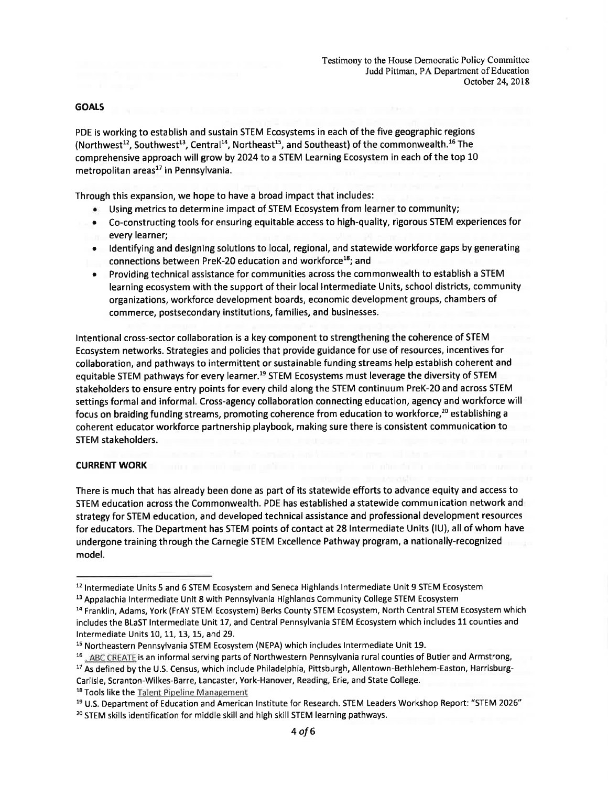#### GOALS

PDE is working to establish and sustain STEM Ecosystems in each of the five geographic regions (Northwest<sup>12</sup>, Southwest<sup>13</sup>, Central<sup>14</sup>, Northeast<sup>15</sup>, and Southeast) of the commonwealth.<sup>16</sup> The comprehensive approach will grow by 2O24 to a STEM Learning Ecosystem in each of the top 10 metropolitan areas $^{17}$  in Pennsylvania.

Through this expansion, we hope to have a broad impact that includes:

- . Using metrics to determine impact of STEM Ecosystem from learner to community;
- . Co-constructing tools for ensuring equitable access to high-quality, rigorous STEM experiences for every learner;
- o ldentifying and designing solutions to local, regional, and statewide workforce gaps by generating connections between PreK-20 education and workforce<sup>18</sup>; and
- r Providing technical assistance for communities across the commonwealth to establish a STEM learning ecosystem with the support of their local lntermediate Units, school districts, community organizations, workforce development boards, economic development groups, chambers of commerce, postsecondary institutions, families, and businesses.

lntentional cross-sector collaboration is a key component to strengthening the coherence of STEM Ecosystem networks. Strategies and policies that provide guidance for use of resources, incentives for collaboration, and pathways to intermittent or sustainable funding streams help establish coherent and equitable STEM pathways for every learner.<sup>19</sup> STEM Ecosystems must leverage the diversity of STEM stakeholders to ensure entry points for every child along the STEM continuum PreK-2O and across STEM settings formal and informal. Cross-agency collaboration connecting education, agency and workforce will focus on braiding funding streams, promoting coherence from education to workforce,<sup>20</sup> establishing a coherent educator workforce partnership playbook, making sure there is consistent communication to STEM stakeholders.

#### CURRENT WORK

There is much that has already been done as part of its statewide efforts to advance equity and access to STEM education across the Commonwealth. PDE has established a statewide communication network and strategy for STEM education, and developed technical assistance and professional development resources for educators. The Department has STEM points of contact at 28 lntermediate Units (lU), all of whom have undergone training through the Carnegie STEM Excellence Pathway program, a nationally-recognized model.

- <sup>16</sup> . ABC CREATE is an informal serving parts of Northwestern Pennsylvania rural counties of Butler and Armstrong
- <sup>17</sup> As defined by the U.S. Census, which include Philadelphia, Pittsburgh, Allentown-Bethlehem-Easton, Harrisburg-Carlisle, Scranton-Wilkes-Barre, Lancaster, York-Hanover, Reading, Erie, and State College.

<sup>18</sup> Tools like the Talent Pipeline Management

<sup>&</sup>lt;sup>12</sup> Intermediate Units 5 and 6 STEM Ecosystem and Seneca Highlands Intermediate Unit 9 STEM Ecosystem

<sup>&</sup>lt;sup>13</sup> Appalachia Intermediate Unit 8 with Pennsylvania Highlands Community College STEM Ecosystem

<sup>&</sup>lt;sup>14</sup> Franklin, Adams, York (FrAY STEM Ecosystem) Berks County STEM Ecosystem, North Central STEM Ecosystem which includes the BLaST lntermediate Unit 17, and Central Pennsylvania STEM Ecosystem which includes 11 counties and Intermediate Units 10, 11, 13, 15, and 29.

<sup>1</sup>s Northeastern Pennsylvania STEM Ecosystem (NEPA) which includes lntermediate Unit 19.

<sup>1</sup>e U.S. Department of Education and American lnstitute for Research. STEM Leaders Workshop Report: "STEM 2026" <sup>20</sup> STEM skills identification for middle skill and high skill STEM learning pathways.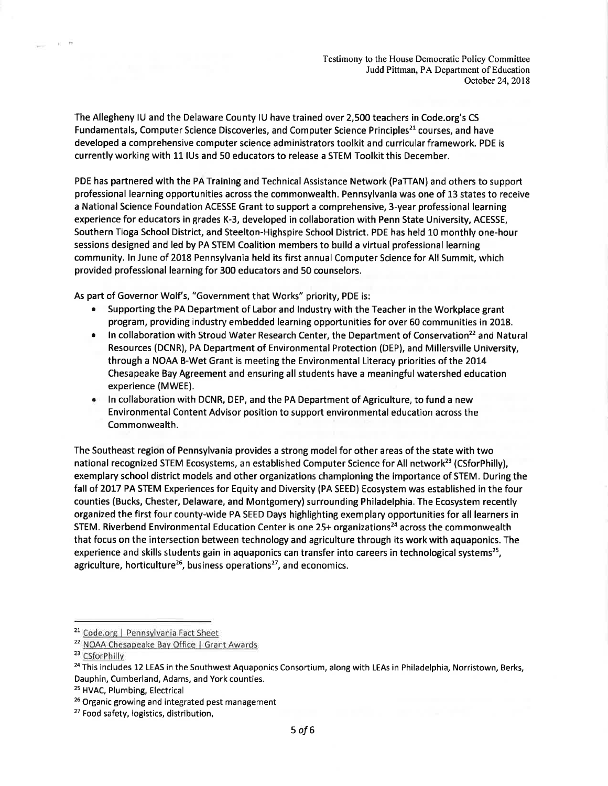The Allegheny lU and the Delaware County lU have trained over 2,500 teachers in Code.org's CS Fundamentals, Computer Science Discoveries, and Computer Science Principles<sup>21</sup> courses, and have developed a comprehensive computer science administrators toolkit and curricular framework. PDE is currently working with 11 lUs and 50 educators to release a STEM Toolkit this December.

PDE has partnered with the PA Training and Technical Assistance Network (PaTTAN) and others to support professional learning opportunities across the commonwealth. Pennsylvania was one of 13 states to receive a National Science Foundation ACESSE Grant to support a comprehensive, 3-year professional learning experience for educators in grades K-3, developed in collaboration with Penn State University, ACESSE, Southern Tioga School District, and Steelton-Highspire School District. PDE has held 10 monthly one-hour sessions designed and led by PA STEM Coalition members to build a virtual professional learning community. ln June of 2018 Pennsylvania held its first annual Computer Science for All Summit, which provided professional learning for 300 educators and 50 counselors.

As part of Governor Wolf's, "Government that Works" priority, PDE is:

- o Supporting the PA Department of Labor and lndustry with the Teacher in the Workplace grant program, providing industry embedded learning opportunities for over 60 communities in 2018.
- In collaboration with Stroud Water Research Center, the Department of Conservation<sup>22</sup> and Natural Resources (DCNR), PA Department of Environmental Protection (DEP), and Millersville University, through a NOAA B-Wet Grant is meeting the Environmental Literacy priorities of the 2014 Chesapeake Bay Agreement and ensuring all students have a meaningful watershed education experience (MWEE).
- In collaboration with DCNR, DEP, and the PA Department of Agriculture, to fund a new Environmental Content Advisor position to support environmental education across the Commonwealth.

The Southeast region of Pennsylvania provides a strong model for other areas of the state with two national recognized STEM Ecosystems, an established Computer Science for All network<sup>23</sup> (CSforPhilly), exemplary school district models and other organizations championing the importance of STEM. During the fall of 2017 PA STEM Experiences for Equity and Diversity (PA SEED) Ecosystem was established in the four counties (Bucks, Chester, Delaware, and Montgomery) surrounding Philadelphia. The Ecosystem recently organized the first four county-wide PA SEED Days highlighting exemplary opportunities for all learners in STEM. Riverbend Environmental Education Center is one  $25+$  organizations<sup>24</sup> across the commonwealth that focus on the intersection between technology and agriculture through its work with aquaponics. The experience and skills students gain in aquaponics can transfer into careers in technological systems<sup>25</sup>, agriculture, horticulture<sup>26</sup>, business operations<sup>27</sup>, and economics.

<sup>&</sup>lt;sup>21</sup> Code.org | Pennsylvania Fact Sheet

<sup>&</sup>lt;sup>22</sup> NOAA Chesapeake Bay Office | Grant Awards

<sup>&</sup>lt;sup>23</sup> CSforPhilly

<sup>&</sup>lt;sup>24</sup> This includes 12 LEAS in the Southwest Aquaponics Consortium, along with LEAs in Philadelphia, Norristown, Berks, Dauphin, Cumberland, Adams, and York counties.

<sup>2</sup>s HVAC, Plumbing, Electrical

<sup>&</sup>lt;sup>26</sup> Organic growing and integrated pest management

<sup>&</sup>lt;sup>27</sup> Food safety, logistics, distribution,